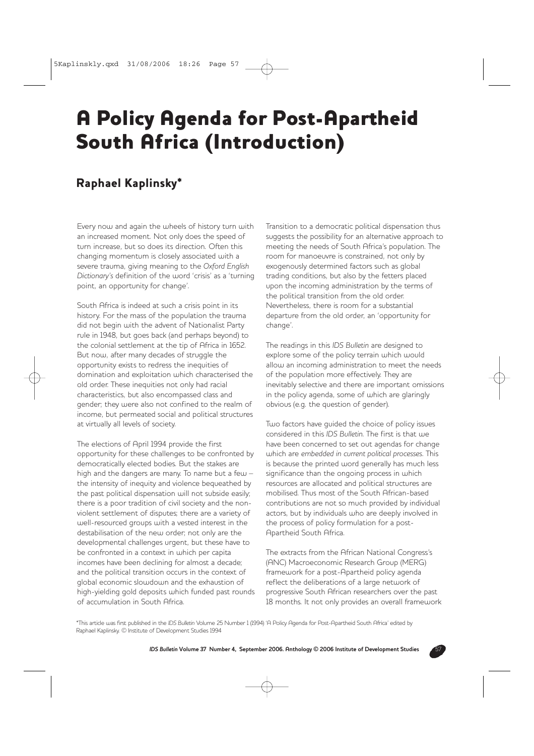## A Policy Agenda for Post-Apartheid South Africa (Introduction)

## Raphael Kaplinsky\*

Every now and again the wheels of history turn with an increased moment. Not only does the speed of turn increase, but so does its direction. Often this changing momentum is closely associated with a severe trauma, giving meaning to the *Oxford English Dictionary's* definition of the word 'crisis' as a 'turning point, an opportunity for change'.

South Africa is indeed at such a crisis point in its history. For the mass of the population the trauma did not begin with the advent of Nationalist Party rule in 1948, but goes back (and perhaps beyond) to the colonial settlement at the tip of Africa in 1652. But now, after many decades of struggle the opportunity exists to redress the inequities of domination and exploitation which characterised the old order. These inequities not only had racial characteristics, but also encompassed class and gender; they were also not confined to the realm of income, but permeated social and political structures at virtually all levels of society.

The elections of April 1994 provide the first opportunity for these challenges to be confronted by democratically elected bodies. But the stakes are high and the dangers are many. To name but a few – the intensity of inequity and violence bequeathed by the past political dispensation will not subside easily; there is a poor tradition of civil society and the nonviolent settlement of disputes; there are a variety of well-resourced groups with a vested interest in the destabilisation of the new order; not only are the developmental challenges urgent, but these have to be confronted in a context in which per capita incomes have been declining for almost a decade; and the political transition occurs in the context of global economic slowdown and the exhaustion of high-yielding gold deposits which funded past rounds of accumulation in South Africa.

Transition to a democratic political dispensation thus suggests the possibility for an alternative approach to meeting the needs of South Africa's population. The room for manoeuvre is constrained, not only by exogenously determined factors such as global trading conditions, but also by the fetters placed upon the incoming administration by the terms of the political transition from the old order. Nevertheless, there is room for a substantial departure from the old order, an 'opportunity for change'.

The readings in this *IDS Bulletin* are designed to explore some of the policy terrain which would allow an incoming administration to meet the needs of the population more effectively. They are inevitably selective and there are important omissions in the policy agenda, some of which are glaringly obvious (e.g. the question of gender).

Two factors have guided the choice of policy issues considered in this *IDS Bulletin*. The first is that we have been concerned to set out agendas for change which are *embedded in current political processes*. This is because the printed word generally has much less significance than the ongoing process in which resources are allocated and political structures are mobilised. Thus most of the South African-based contributions are not so much provided by individual actors, but by individuals who are deeply involved in the process of policy formulation for a post-Apartheid South Africa.

The extracts from the African National Congress's (ANC) Macroeconomic Research Group (MERG) framework for a post-Apartheid policy agenda reflect the deliberations of a large network of progressive South African researchers over the past 18 months. It not only provides an overall framework

\*This article was first published in the *IDS Bulletin* Volume 25 Number 1 (1994) 'A Policy Agenda for Post-Apartheid South Africa' edited by Raphael Kaplinsky. © Institute of Development Studies 1994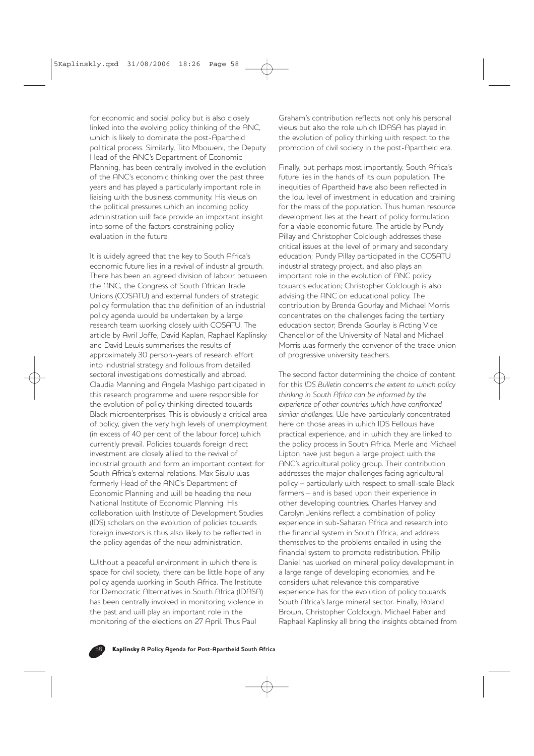for economic and social policy but is also closely linked into the evolving policy thinking of the ANC, which is likely to dominate the post-Apartheid political process. Similarly, Tito Mboweni, the Deputy Head of the ANC's Department of Economic Planning, has been centrally involved in the evolution of the ANC's economic thinking over the past three years and has played a particularly important role in liaising with the business community. His views on the political pressures which an incoming policy administration will face provide an important insight into some of the factors constraining policy evaluation in the future.

It is widely agreed that the key to South Africa's economic future lies in a revival of industrial growth. There has been an agreed division of labour between the ANC, the Congress of South African Trade Unions (COSATU) and external funders of strategic policy formulation that the definition of an industrial policy agenda would be undertaken by a large research team working closely with COSATU. The article by Avril Joffe, David Kaplan, Raphael Kaplinsky and David Lewis summarises the results of approximately 30 person-years of research effort into industrial strategy and follows from detailed sectoral investigations domestically and abroad. Claudia Manning and Angela Mashigo participated in this research programme and were responsible for the evolution of policy thinking directed towards Black microenterprises. This is obviously a critical area of policy, given the very high levels of unemployment (in excess of 40 per cent of the labour force) which currently prevail. Policies towards foreign direct investment are closely allied to the revival of industrial growth and form an important context for South Africa's external relations. Max Sisulu was formerly Head of the ANC's Department of Economic Planning and will be heading the new National Institute of Economic Planning. His collaboration with Institute of Development Studies (IDS) scholars on the evolution of policies towards foreign investors is thus also likely to be reflected in the policy agendas of the new administration.

Without a peaceful environment in which there is space for civil society, there can be little hope of any policy agenda working in South Africa. The Institute for Democratic Alternatives in South Africa (IDASA) has been centrally involved in monitoring violence in the past and will play an important role in the monitoring of the elections on 27 April. Thus Paul

Graham's contribution reflects not only his personal views but also the role which IDASA has played in the evolution of policy thinking with respect to the promotion of civil society in the post-Apartheid era.

Finally, but perhaps most importantly, South Africa's future lies in the hands of its own population. The inequities of Apartheid have also been reflected in the low level of investment in education and training for the mass of the population. Thus human resource development lies at the heart of policy formulation for a viable economic future. The article by Pundy Pillay and Christopher Colclough addresses these critical issues at the level of primary and secondary education; Pundy Pillay participated in the COSATU industrial strategy project, and also plays an important role in the evolution of ANC policy towards education; Christopher Colclough is also advising the ANC on educational policy. The contribution by Brenda Gourlay and Michael Morris concentrates on the challenges facing the tertiary education sector; Brenda Gourlay is Acting Vice Chancellor of the University of Natal and Michael Morris was formerly the convenor of the trade union of progressive university teachers.

The second factor determining the choice of content for this *IDS Bulletin* concerns *the extent to which policy thinking in South Africa can be informed by the experience of other countries which have confronted similar challenges*. We have particularly concentrated here on those areas in which IDS Fellows have practical experience, and in which they are linked to the policy process in South Africa. Merle and Michael Lipton have just begun a large project with the ANC's agricultural policy group. Their contribution addresses the major challenges facing agricultural policy – particularly with respect to small-scale Black farmers – and is based upon their experience in other developing countries. Charles Harvey and Carolyn Jenkins reflect a combination of policy experience in sub-Saharan Africa and research into the financial system in South Africa, and address themselves to the problems entailed in using the financial system to promote redistribution. Philip Daniel has worked on mineral policy development in a large range of developing economies, and he considers what relevance this comparative experience has for the evolution of policy towards South Africa's large mineral sector. Finally, Roland Brown, Christopher Colclough, Michael Faber and Raphael Kaplinsky all bring the insights obtained from